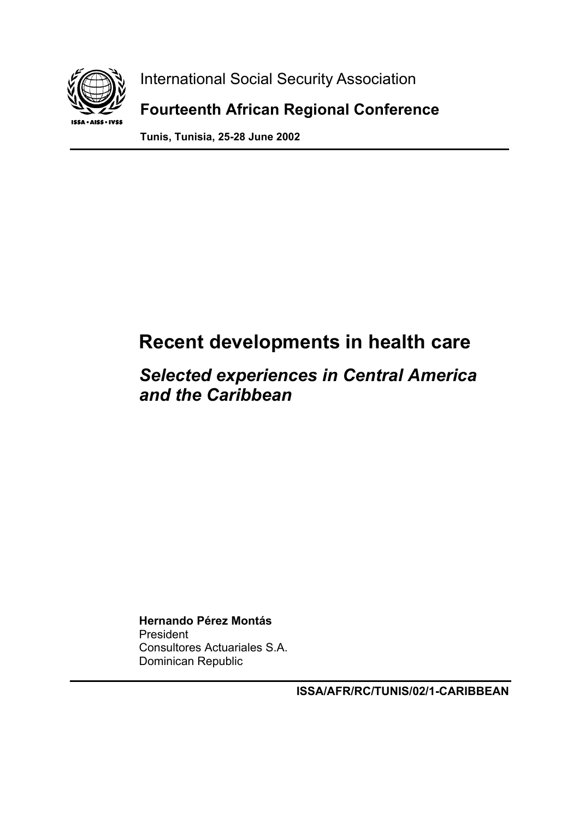

 International Social Security Association  **Fourteenth African Regional Conference** 

**Tunis, Tunisia, 25-28 June 2002** 

# **Recent developments in health care**

## *Selected experiences in Central America and the Caribbean*

**Hernando Pérez Montás**  President Consultores Actuariales S.A. Dominican Republic

**ISSA/AFR/RC/TUNIS/02/1-CARIBBEAN**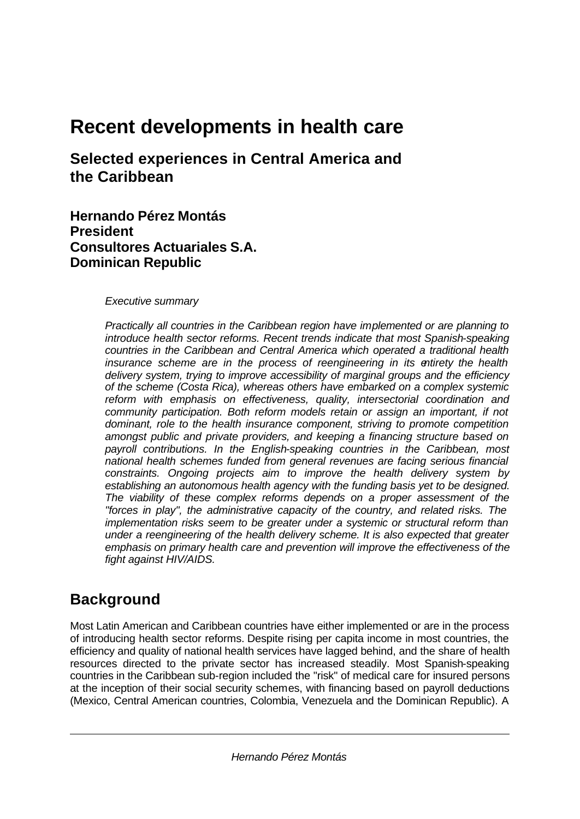# **Recent developments in health care**

**Selected experiences in Central America and the Caribbean**

**Hernando Pérez Montás President Consultores Actuariales S.A. Dominican Republic**

### *Executive summary*

*Practically all countries in the Caribbean region have implemented or are planning to introduce health sector reforms. Recent trends indicate that most Spanish-speaking countries in the Caribbean and Central America which operated a traditional health insurance scheme are in the process of reengineering in its entirety the health delivery system, trying to improve accessibility of marginal groups and the efficiency of the scheme (Costa Rica), whereas others have embarked on a complex systemic reform with emphasis on effectiveness, quality, intersectorial coordination and community participation. Both reform models retain or assign an important, if not dominant, role to the health insurance component, striving to promote competition amongst public and private providers, and keeping a financing structure based on payroll contributions. In the English-speaking countries in the Caribbean, most national health schemes funded from general revenues are facing serious financial constraints. Ongoing projects aim to improve the health delivery system by establishing an autonomous health agency with the funding basis yet to be designed. The viability of these complex reforms depends on a proper assessment of the "forces in play", the administrative capacity of the country, and related risks. The implementation risks seem to be greater under a systemic or structural reform than under a reengineering of the health delivery scheme. It is also expected that greater emphasis on primary health care and prevention will improve the effectiveness of the fight against HIV/AIDS.*

### **Background**

Most Latin American and Caribbean countries have either implemented or are in the process of introducing health sector reforms. Despite rising per capita income in most countries, the efficiency and quality of national health services have lagged behind, and the share of health resources directed to the private sector has increased steadily. Most Spanish-speaking countries in the Caribbean sub-region included the "risk" of medical care for insured persons at the inception of their social security schemes, with financing based on payroll deductions (Mexico, Central American countries, Colombia, Venezuela and the Dominican Republic). A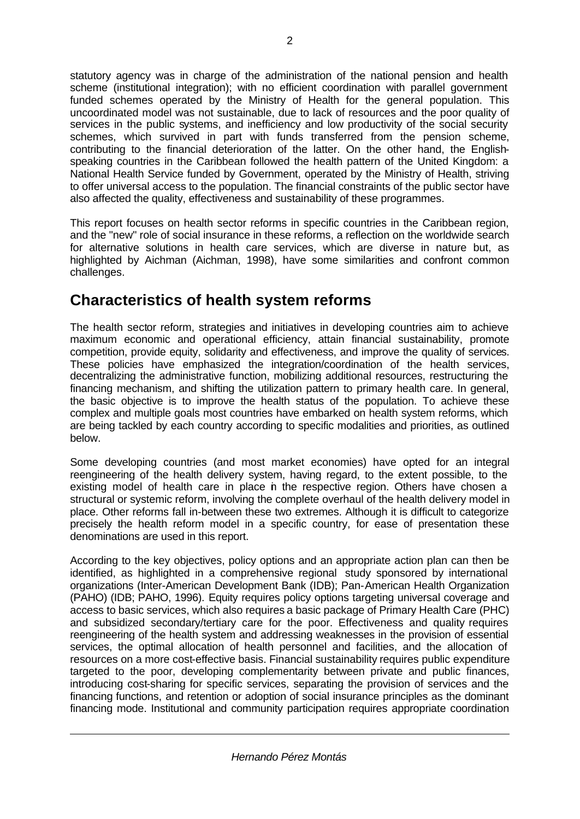statutory agency was in charge of the administration of the national pension and health scheme (institutional integration); with no efficient coordination with parallel government funded schemes operated by the Ministry of Health for the general population. This uncoordinated model was not sustainable, due to lack of resources and the poor quality of services in the public systems, and inefficiency and low productivity of the social security schemes, which survived in part with funds transferred from the pension scheme, contributing to the financial deterioration of the latter. On the other hand, the Englishspeaking countries in the Caribbean followed the health pattern of the United Kingdom: a National Health Service funded by Government, operated by the Ministry of Health, striving to offer universal access to the population. The financial constraints of the public sector have also affected the quality, effectiveness and sustainability of these programmes.

This report focuses on health sector reforms in specific countries in the Caribbean region, and the "new" role of social insurance in these reforms, a reflection on the worldwide search for alternative solutions in health care services, which are diverse in nature but, as highlighted by Aichman (Aichman, 1998), have some similarities and confront common challenges.

### **Characteristics of health system reforms**

The health sector reform, strategies and initiatives in developing countries aim to achieve maximum economic and operational efficiency, attain financial sustainability, promote competition, provide equity, solidarity and effectiveness, and improve the quality of services. These policies have emphasized the integration/coordination of the health services, decentralizing the administrative function, mobilizing additional resources, restructuring the financing mechanism, and shifting the utilization pattern to primary health care. In general, the basic objective is to improve the health status of the population. To achieve these complex and multiple goals most countries have embarked on health system reforms, which are being tackled by each country according to specific modalities and priorities, as outlined below.

Some developing countries (and most market economies) have opted for an integral reengineering of the health delivery system, having regard, to the extent possible, to the existing model of health care in place in the respective region. Others have chosen a structural or systemic reform, involving the complete overhaul of the health delivery model in place. Other reforms fall in-between these two extremes. Although it is difficult to categorize precisely the health reform model in a specific country, for ease of presentation these denominations are used in this report.

According to the key objectives, policy options and an appropriate action plan can then be identified, as highlighted in a comprehensive regional study sponsored by international organizations (Inter-American Development Bank (IDB); Pan-American Health Organization (PAHO) (IDB; PAHO, 1996). Equity requires policy options targeting universal coverage and access to basic services, which also requires a basic package of Primary Health Care (PHC) and subsidized secondary/tertiary care for the poor. Effectiveness and quality requires reengineering of the health system and addressing weaknesses in the provision of essential services, the optimal allocation of health personnel and facilities, and the allocation of resources on a more cost-effective basis. Financial sustainability requires public expenditure targeted to the poor, developing complementarity between private and public finances, introducing cost-sharing for specific services, separating the provision of services and the financing functions, and retention or adoption of social insurance principles as the dominant financing mode. Institutional and community participation requires appropriate coordination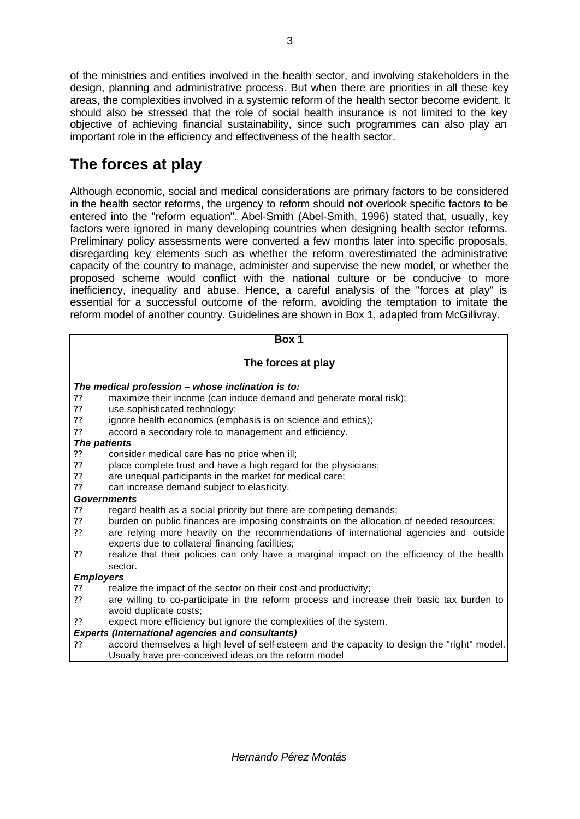of the ministries and entities involved in the health sector, and involving stakeholders in the design, planning and administrative process. But when there are priorities in all these key areas, the complexities involved in a systemic reform of the health sector become evident. It should also be stressed that the role of social health insurance is not limited to the key objective of achieving financial sustainability, since such programmes can also play an important role in the efficiency and effectiveness of the health sector.

## **The forces at play**

Although economic, social and medical considerations are primary factors to be considered in the health sector reforms, the urgency to reform should not overlook specific factors to be entered into the "reform equation". Abel-Smith (Abel-Smith, 1996) stated that, usually, key factors were ignored in many developing countries when designing health sector reforms. Preliminary policy assessments were converted a few months later into specific proposals, disregarding key elements such as whether the reform overestimated the administrative capacity of the country to manage, administer and supervise the new model, or whether the proposed scheme would conflict with the national culture or be conducive to more inefficiency, inequality and abuse. Hence, a careful analysis of the "forces at play" is essential for a successful outcome of the reform, avoiding the temptation to imitate the reform model of another country. Guidelines are shown in Box 1, adapted from McGillivray.

#### **Box 1**

### **The forces at play**

#### *The medical profession – whose inclination is to:*

- ?? maximize their income (can induce demand and generate moral risk);
- ?? use sophisticated technology;<br>?? ignore health economics (emp
- ignore health economics (emphasis is on science and ethics);
- ?? accord a secondary role to management and efficiency.

#### *The patients*

- ?? consider medical care has no price when ill;
- ?? place complete trust and have a high regard for the physicians;<br>?? are unequal participants in the market for medical care;
- 2? are unequal participants in the market for medical care;<br>2? can increase demand subject to elasticity.
- can increase demand subject to elasticity.

#### *Governments*

- ?? regard health as a social priority but there are competing demands;<br>?? burden on public finances are imposing constraints on the allocation
- burden on public finances are imposing constraints on the allocation of needed resources;
- ?? are relying more heavily on the recommendations of international agencies and outside experts due to collateral financing facilities;
- ?? realize that their policies can only have a marginal impact on the efficiency of the health sector.

#### *Employers*

- ?? realize the impact of the sector on their cost and productivity;
- ?? are willing to co-participate in the reform process and increase their basic tax burden to avoid duplicate costs;
- ?? expect more efficiency but ignore the complexities of the system.

#### *Experts (International agencies and consultants)*

accord themselves a high level of self-esteem and the capacity to design the "right" model. Usually have pre-conceived ideas on the reform model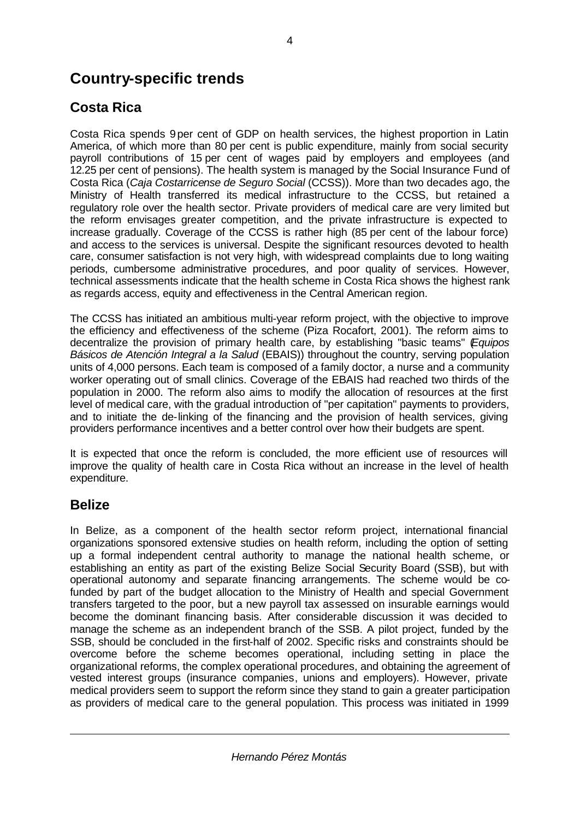## **Country-specific trends**

### **Costa Rica**

Costa Rica spends 9per cent of GDP on health services, the highest proportion in Latin America, of which more than 80 per cent is public expenditure, mainly from social security payroll contributions of 15 per cent of wages paid by employers and employees (and 12.25 per cent of pensions). The health system is managed by the Social Insurance Fund of Costa Rica (*Caja Costarricense de Seguro Social* (CCSS)). More than two decades ago, the Ministry of Health transferred its medical infrastructure to the CCSS, but retained a regulatory role over the health sector. Private providers of medical care are very limited but the reform envisages greater competition, and the private infrastructure is expected to increase gradually. Coverage of the CCSS is rather high (85 per cent of the labour force) and access to the services is universal. Despite the significant resources devoted to health care, consumer satisfaction is not very high, with widespread complaints due to long waiting periods, cumbersome administrative procedures, and poor quality of services. However, technical assessments indicate that the health scheme in Costa Rica shows the highest rank as regards access, equity and effectiveness in the Central American region.

The CCSS has initiated an ambitious multi-year reform project, with the objective to improve the efficiency and effectiveness of the scheme (Piza Rocafort, 2001). The reform aims to decentralize the provision of primary health care, by establishing "basic teams" (*Equipos Básicos de Atención Integral a la Salud* (EBAIS)) throughout the country, serving population units of 4,000 persons. Each team is composed of a family doctor, a nurse and a community worker operating out of small clinics. Coverage of the EBAIS had reached two thirds of the population in 2000. The reform also aims to modify the allocation of resources at the first level of medical care, with the gradual introduction of "per capitation" payments to providers, and to initiate the de-linking of the financing and the provision of health services, giving providers performance incentives and a better control over how their budgets are spent.

It is expected that once the reform is concluded, the more efficient use of resources will improve the quality of health care in Costa Rica without an increase in the level of health expenditure.

### **Belize**

In Belize, as a component of the health sector reform project, international financial organizations sponsored extensive studies on health reform, including the option of setting up a formal independent central authority to manage the national health scheme, or establishing an entity as part of the existing Belize Social Security Board (SSB), but with operational autonomy and separate financing arrangements. The scheme would be cofunded by part of the budget allocation to the Ministry of Health and special Government transfers targeted to the poor, but a new payroll tax assessed on insurable earnings would become the dominant financing basis. After considerable discussion it was decided to manage the scheme as an independent branch of the SSB. A pilot project, funded by the SSB, should be concluded in the first-half of 2002. Specific risks and constraints should be overcome before the scheme becomes operational, including setting in place the organizational reforms, the complex operational procedures, and obtaining the agreement of vested interest groups (insurance companies, unions and employers). However, private medical providers seem to support the reform since they stand to gain a greater participation as providers of medical care to the general population. This process was initiated in 1999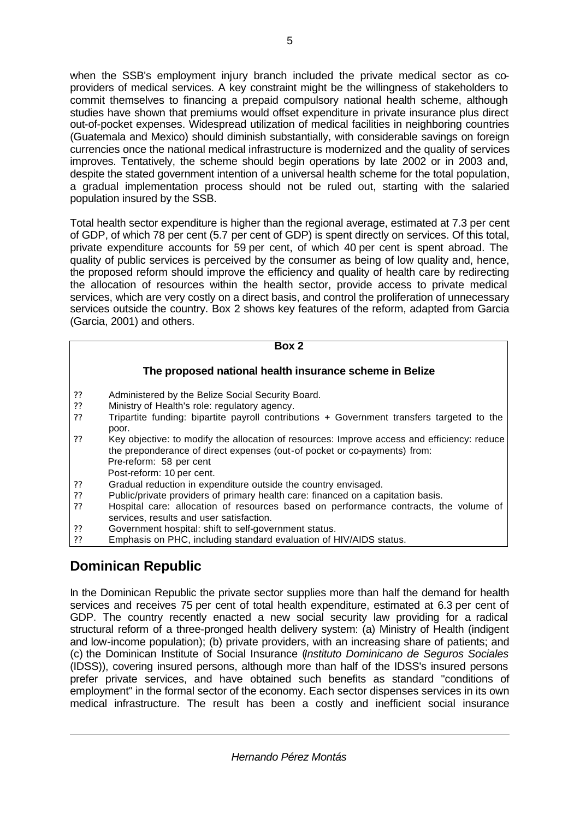when the SSB's employment injury branch included the private medical sector as coproviders of medical services. A key constraint might be the willingness of stakeholders to commit themselves to financing a prepaid compulsory national health scheme, although studies have shown that premiums would offset expenditure in private insurance plus direct out-of-pocket expenses. Widespread utilization of medical facilities in neighboring countries (Guatemala and Mexico) should diminish substantially, with considerable savings on foreign currencies once the national medical infrastructure is modernized and the quality of services improves. Tentatively, the scheme should begin operations by late 2002 or in 2003 and, despite the stated government intention of a universal health scheme for the total population, a gradual implementation process should not be ruled out, starting with the salaried population insured by the SSB.

Total health sector expenditure is higher than the regional average, estimated at 7.3 per cent of GDP, of which 78 per cent (5.7 per cent of GDP) is spent directly on services. Of this total, private expenditure accounts for 59 per cent, of which 40 per cent is spent abroad. The quality of public services is perceived by the consumer as being of low quality and, hence, the proposed reform should improve the efficiency and quality of health care by redirecting the allocation of resources within the health sector, provide access to private medical services, which are very costly on a direct basis, and control the proliferation of unnecessary services outside the country. Box 2 shows key features of the reform, adapted from Garcia (Garcia, 2001) and others.

### **Box 2**

### **The proposed national health insurance scheme in Belize**

- ?? Administered by the Belize Social Security Board.
- ?? Ministry of Health's role: regulatory agency.
- ?? Tripartite funding: bipartite payroll contributions + Government transfers targeted to the poor.
- ?? Key objective: to modify the allocation of resources: Improve access and efficiency: reduce the preponderance of direct expenses (out-of pocket or co-payments) from: Pre-reform: 58 per cent Post-reform: 10 per cent.
- 
- ?? Gradual reduction in expenditure outside the country envisaged.<br>?? Public/private providers of primary health care: financed on a car
- ?? Public/private providers of primary health care: financed on a capitation basis.<br>?? Hospital care: allocation of resources based on performance contracts, the ?? Hospital care: allocation of resources based on performance contracts, the volume of services, results and user satisfaction.
- ?? Government hospital: shift to self-government status.
- Emphasis on PHC, including standard evaluation of HIV/AIDS status.

### **Dominican Republic**

In the Dominican Republic the private sector supplies more than half the demand for health services and receives 75 per cent of total health expenditure, estimated at 6.3 per cent of GDP. The country recently enacted a new social security law providing for a radical structural reform of a three-pronged health delivery system: (a) Ministry of Health (indigent and low-income population); (b) private providers, with an increasing share of patients; and (c) the Dominican Institute of Social Insurance (*Instituto Dominicano de Seguros Sociales* (IDSS)), covering insured persons, although more than half of the IDSS's insured persons prefer private services, and have obtained such benefits as standard "conditions of employment" in the formal sector of the economy. Each sector dispenses services in its own medical infrastructure. The result has been a costly and inefficient social insurance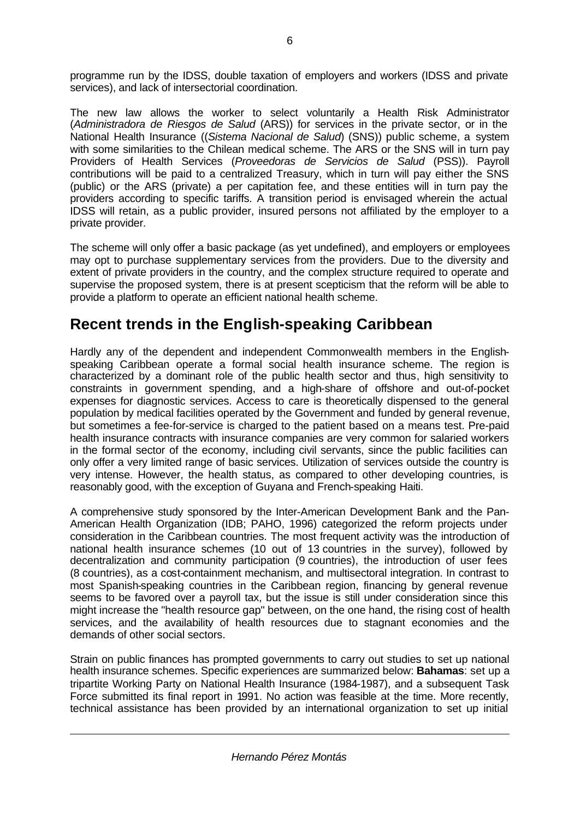programme run by the IDSS, double taxation of employers and workers (IDSS and private services), and lack of intersectorial coordination.

The new law allows the worker to select voluntarily a Health Risk Administrator (*Administradora de Riesgos de Salud* (ARS)) for services in the private sector, or in the National Health Insurance ((*Sistema Nacional de Salud*) (SNS)) public scheme, a system with some similarities to the Chilean medical scheme. The ARS or the SNS will in turn pay Providers of Health Services (*Proveedoras de Servicios de Salud* (PSS)). Payroll contributions will be paid to a centralized Treasury, which in turn will pay either the SNS (public) or the ARS (private) a per capitation fee, and these entities will in turn pay the providers according to specific tariffs. A transition period is envisaged wherein the actual IDSS will retain, as a public provider, insured persons not affiliated by the employer to a private provider.

The scheme will only offer a basic package (as yet undefined), and employers or employees may opt to purchase supplementary services from the providers. Due to the diversity and extent of private providers in the country, and the complex structure required to operate and supervise the proposed system, there is at present scepticism that the reform will be able to provide a platform to operate an efficient national health scheme.

### **Recent trends in the English-speaking Caribbean**

Hardly any of the dependent and independent Commonwealth members in the Englishspeaking Caribbean operate a formal social health insurance scheme. The region is characterized by a dominant role of the public health sector and thus, high sensitivity to constraints in government spending, and a high-share of offshore and out-of-pocket expenses for diagnostic services. Access to care is theoretically dispensed to the general population by medical facilities operated by the Government and funded by general revenue, but sometimes a fee-for-service is charged to the patient based on a means test. Pre-paid health insurance contracts with insurance companies are very common for salaried workers in the formal sector of the economy, including civil servants, since the public facilities can only offer a very limited range of basic services. Utilization of services outside the country is very intense. However, the health status, as compared to other developing countries, is reasonably good, with the exception of Guyana and French-speaking Haiti.

A comprehensive study sponsored by the Inter-American Development Bank and the Pan-American Health Organization (IDB; PAHO, 1996) categorized the reform projects under consideration in the Caribbean countries. The most frequent activity was the introduction of national health insurance schemes (10 out of 13 countries in the survey), followed by decentralization and community participation (9 countries), the introduction of user fees (8 countries), as a cost-containment mechanism, and multisectoral integration. In contrast to most Spanish-speaking countries in the Caribbean region, financing by general revenue seems to be favored over a payroll tax, but the issue is still under consideration since this might increase the "health resource gap" between, on the one hand, the rising cost of health services, and the availability of health resources due to stagnant economies and the demands of other social sectors.

Strain on public finances has prompted governments to carry out studies to set up national health insurance schemes. Specific experiences are summarized below: **Bahamas**: set up a tripartite Working Party on National Health Insurance (1984-1987), and a subsequent Task Force submitted its final report in 1991. No action was feasible at the time. More recently, technical assistance has been provided by an international organization to set up initial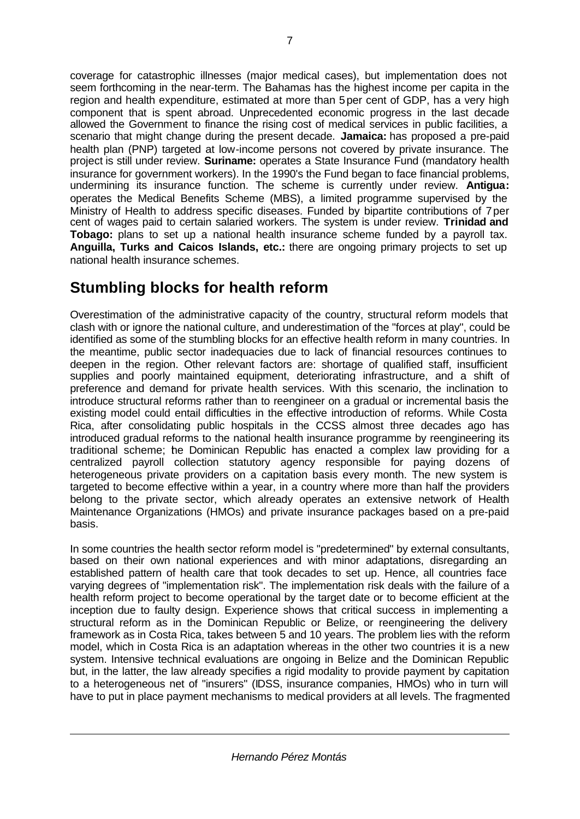coverage for catastrophic illnesses (major medical cases), but implementation does not seem forthcoming in the near-term. The Bahamas has the highest income per capita in the region and health expenditure, estimated at more than 5per cent of GDP, has a very high component that is spent abroad. Unprecedented economic progress in the last decade allowed the Government to finance the rising cost of medical services in public facilities, a scenario that might change during the present decade. **Jamaica:** has proposed a pre-paid health plan (PNP) targeted at low-income persons not covered by private insurance. The project is still under review. **Suriname:** operates a State Insurance Fund (mandatory health insurance for government workers). In the 1990's the Fund began to face financial problems, undermining its insurance function. The scheme is currently under review. **Antigua:** operates the Medical Benefits Scheme (MBS), a limited programme supervised by the Ministry of Health to address specific diseases. Funded by bipartite contributions of 7per cent of wages paid to certain salaried workers. The system is under review. **Trinidad and Tobago:** plans to set up a national health insurance scheme funded by a payroll tax. **Anguilla, Turks and Caicos Islands, etc.:** there are ongoing primary projects to set up national health insurance schemes.

## **Stumbling blocks for health reform**

Overestimation of the administrative capacity of the country, structural reform models that clash with or ignore the national culture, and underestimation of the "forces at play", could be identified as some of the stumbling blocks for an effective health reform in many countries. In the meantime, public sector inadequacies due to lack of financial resources continues to deepen in the region. Other relevant factors are: shortage of qualified staff, insufficient supplies and poorly maintained equipment, deteriorating infrastructure, and a shift of preference and demand for private health services. With this scenario, the inclination to introduce structural reforms rather than to reengineer on a gradual or incremental basis the existing model could entail difficulties in the effective introduction of reforms. While Costa Rica, after consolidating public hospitals in the CCSS almost three decades ago has introduced gradual reforms to the national health insurance programme by reengineering its traditional scheme; the Dominican Republic has enacted a complex law providing for a centralized payroll collection statutory agency responsible for paying dozens of heterogeneous private providers on a capitation basis every month. The new system is targeted to become effective within a year, in a country where more than half the providers belong to the private sector, which already operates an extensive network of Health Maintenance Organizations (HMOs) and private insurance packages based on a pre-paid basis.

In some countries the health sector reform model is "predetermined" by external consultants, based on their own national experiences and with minor adaptations, disregarding an established pattern of health care that took decades to set up. Hence, all countries face varying degrees of "implementation risk". The implementation risk deals with the failure of a health reform project to become operational by the target date or to become efficient at the inception due to faulty design. Experience shows that critical success in implementing a structural reform as in the Dominican Republic or Belize, or reengineering the delivery framework as in Costa Rica, takes between 5 and 10 years. The problem lies with the reform model, which in Costa Rica is an adaptation whereas in the other two countries it is a new system. Intensive technical evaluations are ongoing in Belize and the Dominican Republic but, in the latter, the law already specifies a rigid modality to provide payment by capitation to a heterogeneous net of "insurers" (IDSS, insurance companies, HMOs) who in turn will have to put in place payment mechanisms to medical providers at all levels. The fragmented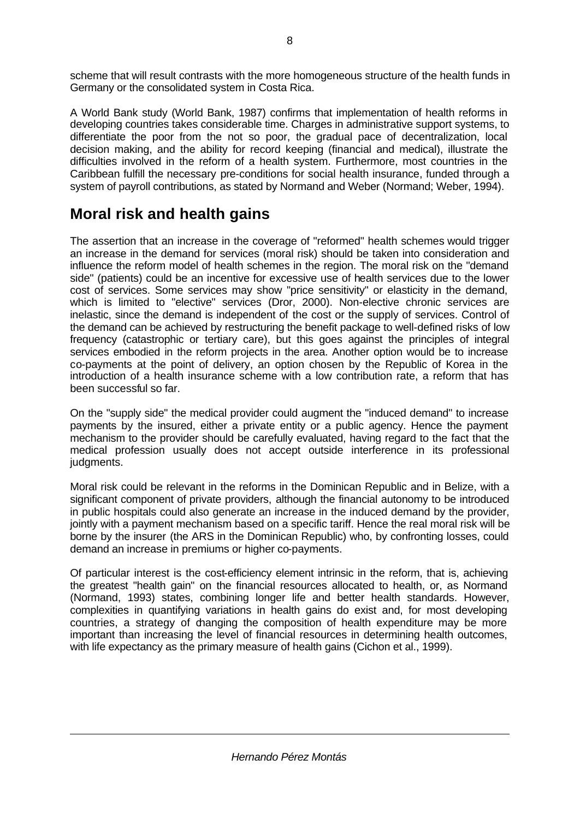scheme that will result contrasts with the more homogeneous structure of the health funds in Germany or the consolidated system in Costa Rica.

A World Bank study (World Bank, 1987) confirms that implementation of health reforms in developing countries takes considerable time. Charges in administrative support systems, to differentiate the poor from the not so poor, the gradual pace of decentralization, local decision making, and the ability for record keeping (financial and medical), illustrate the difficulties involved in the reform of a health system. Furthermore, most countries in the Caribbean fulfill the necessary pre-conditions for social health insurance, funded through a system of payroll contributions, as stated by Normand and Weber (Normand; Weber, 1994).

### **Moral risk and health gains**

The assertion that an increase in the coverage of "reformed" health schemes would trigger an increase in the demand for services (moral risk) should be taken into consideration and influence the reform model of health schemes in the region. The moral risk on the "demand side" (patients) could be an incentive for excessive use of health services due to the lower cost of services. Some services may show "price sensitivity" or elasticity in the demand, which is limited to "elective" services (Dror, 2000). Non-elective chronic services are inelastic, since the demand is independent of the cost or the supply of services. Control of the demand can be achieved by restructuring the benefit package to well-defined risks of low frequency (catastrophic or tertiary care), but this goes against the principles of integral services embodied in the reform projects in the area. Another option would be to increase co-payments at the point of delivery, an option chosen by the Republic of Korea in the introduction of a health insurance scheme with a low contribution rate, a reform that has been successful so far.

On the "supply side" the medical provider could augment the "induced demand" to increase payments by the insured, either a private entity or a public agency. Hence the payment mechanism to the provider should be carefully evaluated, having regard to the fact that the medical profession usually does not accept outside interference in its professional judgments.

Moral risk could be relevant in the reforms in the Dominican Republic and in Belize, with a significant component of private providers, although the financial autonomy to be introduced in public hospitals could also generate an increase in the induced demand by the provider, jointly with a payment mechanism based on a specific tariff. Hence the real moral risk will be borne by the insurer (the ARS in the Dominican Republic) who, by confronting losses, could demand an increase in premiums or higher co-payments.

Of particular interest is the cost-efficiency element intrinsic in the reform, that is, achieving the greatest "health gain" on the financial resources allocated to health, or, as Normand (Normand, 1993) states, combining longer life and better health standards. However, complexities in quantifying variations in health gains do exist and, for most developing countries, a strategy of changing the composition of health expenditure may be more important than increasing the level of financial resources in determining health outcomes, with life expectancy as the primary measure of health gains (Cichon et al., 1999).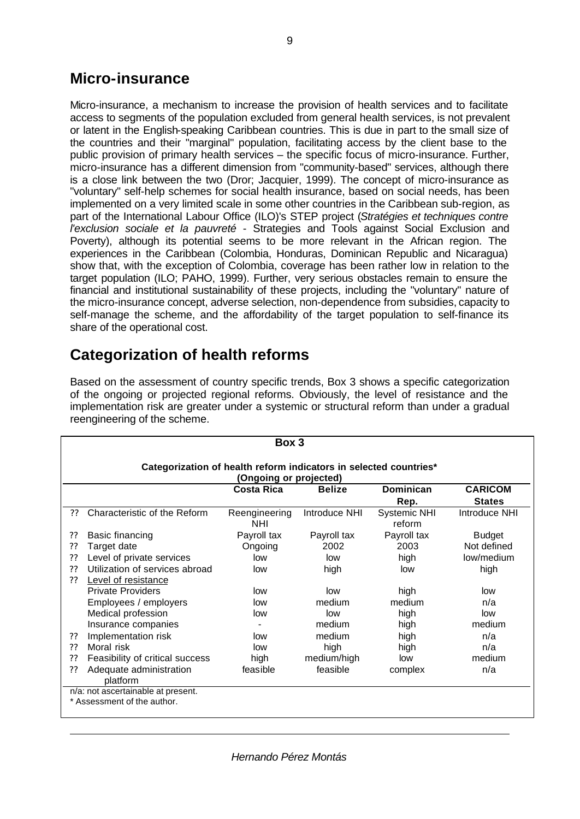### **Micro-insurance**

Micro-insurance, a mechanism to increase the provision of health services and to facilitate access to segments of the population excluded from general health services, is not prevalent or latent in the English-speaking Caribbean countries. This is due in part to the small size of the countries and their "marginal" population, facilitating access by the client base to the public provision of primary health services – the specific focus of micro-insurance. Further, micro-insurance has a different dimension from "community-based" services, although there is a close link between the two (Dror; Jacquier, 1999). The concept of micro-insurance as "voluntary" self-help schemes for social health insurance, based on social needs, has been implemented on a very limited scale in some other countries in the Caribbean sub-region, as part of the International Labour Office (ILO)'s STEP project (*Stratégies et techniques contre l'exclusion sociale et la pauvreté* - Strategies and Tools against Social Exclusion and Poverty), although its potential seems to be more relevant in the African region. The experiences in the Caribbean (Colombia, Honduras, Dominican Republic and Nicaragua) show that, with the exception of Colombia, coverage has been rather low in relation to the target population (ILO; PAHO, 1999). Further, very serious obstacles remain to ensure the financial and institutional sustainability of these projects, including the "voluntary" nature of the micro-insurance concept, adverse selection, non-dependence from subsidies, capacity to self-manage the scheme, and the affordability of the target population to self-finance its share of the operational cost.

## **Categorization of health reforms**

Based on the assessment of country specific trends, Box 3 shows a specific categorization of the ongoing or projected regional reforms. Obviously, the level of resistance and the implementation risk are greater under a systemic or structural reform than under a gradual reengineering of the scheme.

| Box 3                                                                                       |                                     |                             |               |                                       |                                |
|---------------------------------------------------------------------------------------------|-------------------------------------|-----------------------------|---------------|---------------------------------------|--------------------------------|
| Categorization of health reform indicators in selected countries*<br>(Ongoing or projected) |                                     |                             |               |                                       |                                |
|                                                                                             |                                     | <b>Costa Rica</b>           | <b>Belize</b> | <b>Dominican</b>                      | <b>CARICOM</b>                 |
| 22                                                                                          | Characteristic of the Reform        | Reengineering<br><b>NHI</b> | Introduce NHI | Rep.<br><b>Systemic NHI</b><br>reform | <b>States</b><br>Introduce NHI |
| ??                                                                                          | Basic financing                     | Payroll tax                 | Payroll tax   | Payroll tax                           | <b>Budget</b>                  |
| ??                                                                                          | Target date                         | Ongoing                     | 2002          | 2003                                  | Not defined                    |
| ??                                                                                          | Level of private services           | low                         | low           | high                                  | low/medium                     |
| 22                                                                                          | Utilization of services abroad      | low                         | high          | low                                   | high                           |
| 22                                                                                          | <b>Level of resistance</b>          |                             |               |                                       |                                |
|                                                                                             | <b>Private Providers</b>            | low                         | low           | high                                  | low                            |
|                                                                                             | Employees / employers               | low                         | medium        | medium                                | n/a                            |
|                                                                                             | Medical profession                  | low                         | low           | high                                  | low                            |
|                                                                                             | Insurance companies                 |                             | medium        | high                                  | medium                         |
| ??                                                                                          | Implementation risk                 | low                         | medium        | high                                  | n/a                            |
| 22                                                                                          | Moral risk                          | low                         | high          | high                                  | n/a                            |
| ??                                                                                          | Feasibility of critical success     | high                        | medium/high   | low                                   | medium                         |
| 22                                                                                          | Adequate administration<br>platform | feasible                    | feasible      | complex                               | n/a                            |
| n/a: not ascertainable at present.<br>* Assessment of the author.                           |                                     |                             |               |                                       |                                |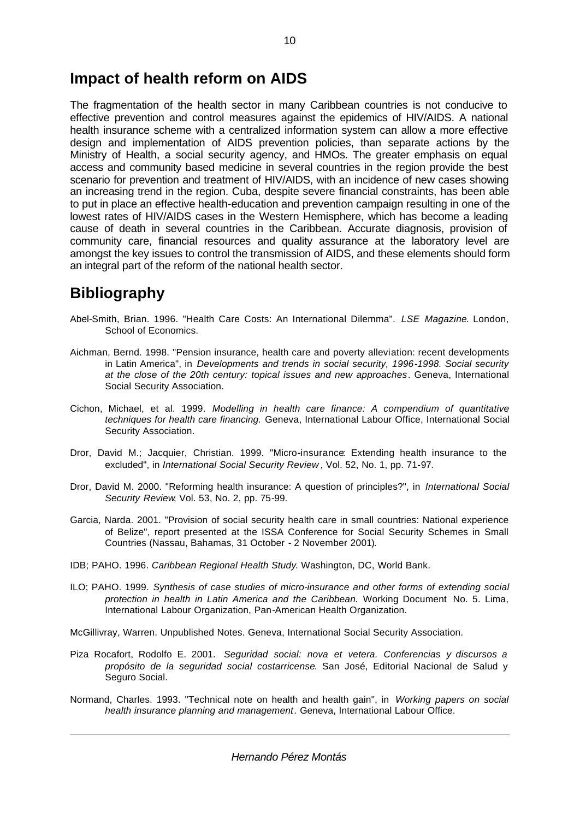### **Impact of health reform on AIDS**

The fragmentation of the health sector in many Caribbean countries is not conducive to effective prevention and control measures against the epidemics of HIV/AIDS. A national health insurance scheme with a centralized information system can allow a more effective design and implementation of AIDS prevention policies, than separate actions by the Ministry of Health, a social security agency, and HMOs. The greater emphasis on equal access and community based medicine in several countries in the region provide the best scenario for prevention and treatment of HIV/AIDS, with an incidence of new cases showing an increasing trend in the region. Cuba, despite severe financial constraints, has been able to put in place an effective health-education and prevention campaign resulting in one of the lowest rates of HIV/AIDS cases in the Western Hemisphere, which has become a leading cause of death in several countries in the Caribbean. Accurate diagnosis, provision of community care, financial resources and quality assurance at the laboratory level are amongst the key issues to control the transmission of AIDS, and these elements should form an integral part of the reform of the national health sector.

## **Bibliography**

- Abel-Smith, Brian. 1996. "Health Care Costs: An International Dilemma". *LSE Magazine*. London, School of Economics.
- Aichman, Bernd. 1998. "Pension insurance, health care and poverty alleviation: recent developments in Latin America", in *Developments and trends in social security, 1996-1998. Social security at the close of the 20th century: topical issues and new approaches*. Geneva, International Social Security Association.
- Cichon, Michael, et al. 1999. *Modelling in health care finance: A compendium of quantitative techniques for health care financing.* Geneva, International Labour Office, International Social Security Association.
- Dror, David M.; Jacquier, Christian. 1999. "Micro-insurance: Extending health insurance to the excluded", in *International Social Security Review* , Vol. 52, No. 1, pp. 71-97.
- Dror, David M. 2000. "Reforming health insurance: A question of principles?", in *International Social Security Review*, Vol. 53, No. 2, pp. 75-99.
- Garcia, Narda. 2001. "Provision of social security health care in small countries: National experience of Belize", report presented at the ISSA Conference for Social Security Schemes in Small Countries (Nassau, Bahamas, 31 October - 2 November 2001).
- IDB; PAHO. 1996. *Caribbean Regional Health Study*. Washington, DC, World Bank.
- ILO; PAHO. 1999. *Synthesis of case studies of micro-insurance and other forms of extending social protection in health in Latin America and the Caribbean.* Working Document No. 5. Lima, International Labour Organization, Pan-American Health Organization.

McGillivray, Warren. Unpublished Notes. Geneva, International Social Security Association.

- Piza Rocafort, Rodolfo E. 2001. *Seguridad social: nova et vetera. Conferencias y discursos a propósito de la seguridad social costarricense*. San José, Editorial Nacional de Salud y Seguro Social.
- Normand, Charles. 1993. "Technical note on health and health gain", in *Working papers on social health insurance planning and management*. Geneva, International Labour Office.